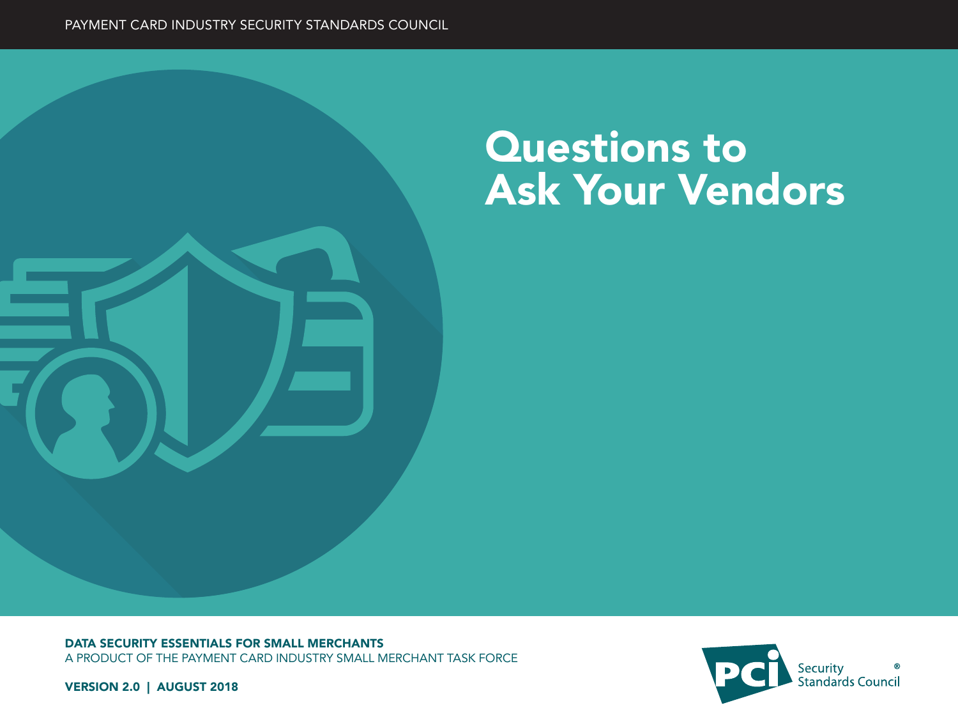

# Questions to Ask Your Vendors

DATA SECURITY ESSENTIALS FOR SMALL MERCHANTS A PRODUCT OF THE PAYMENT CARD INDUSTRY SMALL MERCHANT TASK FORCE



VERSION 2.0 | AUGUST 2018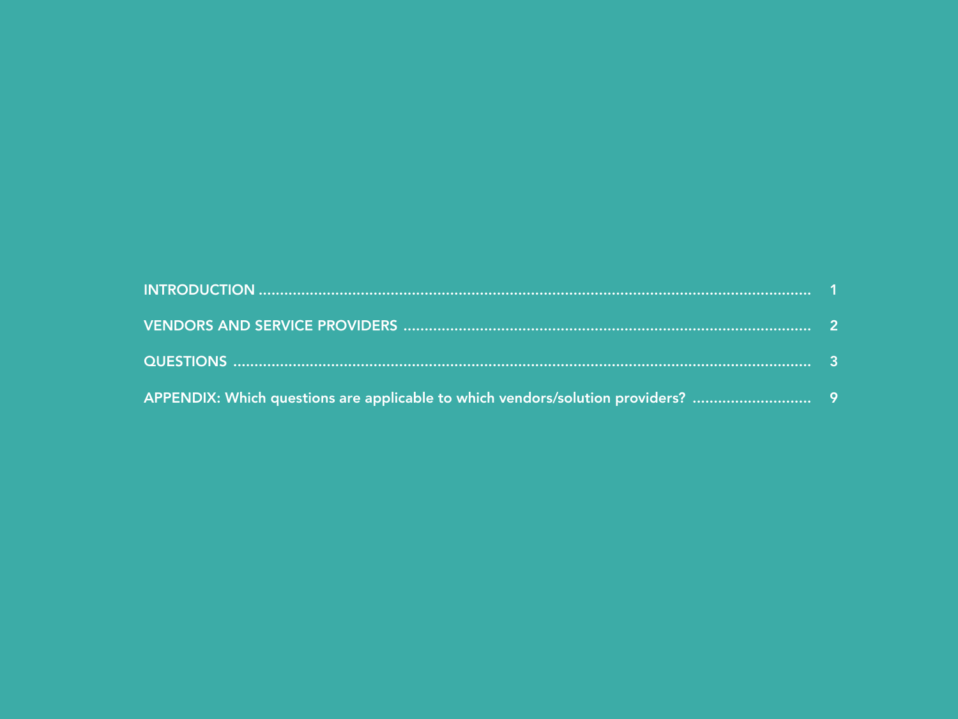| APPENDIX: Which questions are applicable to which vendors/solution providers?  9 |  |
|----------------------------------------------------------------------------------|--|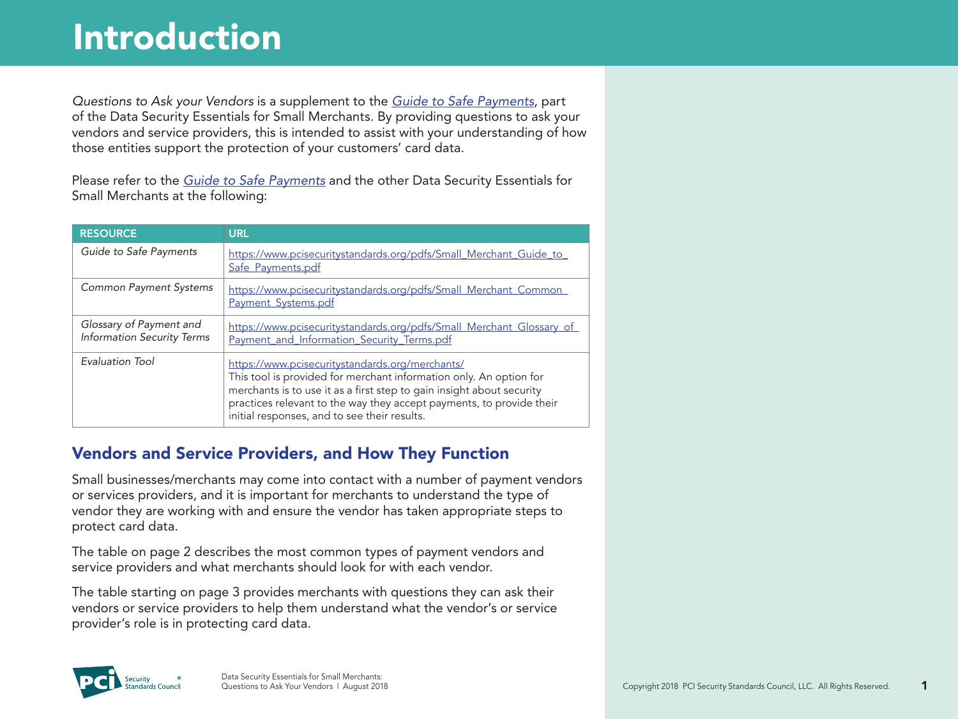*Questions to Ask your Vendors* is a supplement to the *[Guide to Safe Payments](https://www.pcisecuritystandards.org/pdfs/Small_Merchant_Guide_to_Safe_Payments.pdf)*, part of the Data Security Essentials for Small Merchants. By providing questions to ask your vendors and service providers, this is intended to assist with your understanding of how those entities support the protection of your customers' card data.

Please refer to the *[Guide to Safe Payments](https://www.pcisecuritystandards.org/pdfs/Small_Merchant_Guide_to_Safe_Payments.pdf)* and the other Data Security Essentials for Small Merchants at the following:

| <b>RESOURCE</b>                                              | <b>URL</b>                                                                                                                                                                                                                                                                                                             |
|--------------------------------------------------------------|------------------------------------------------------------------------------------------------------------------------------------------------------------------------------------------------------------------------------------------------------------------------------------------------------------------------|
| Guide to Safe Payments                                       | https://www.pcisecuritystandards.org/pdfs/Small_Merchant_Guide_to_<br>Safe_Payments.pdf                                                                                                                                                                                                                                |
| <b>Common Payment Systems</b>                                | https://www.pcisecuritystandards.org/pdfs/Small_Merchant_Common_<br>Payment Systems.pdf                                                                                                                                                                                                                                |
| Glossary of Payment and<br><b>Information Security Terms</b> | https://www.pcisecuritystandards.org/pdfs/Small_Merchant_Glossary_of<br>Payment_and_Information_Security_Terms.pdf                                                                                                                                                                                                     |
| Evaluation Tool                                              | https://www.pcisecuritystandards.org/merchants/<br>This tool is provided for merchant information only. An option for<br>merchants is to use it as a first step to gain insight about security<br>practices relevant to the way they accept payments, to provide their<br>initial responses, and to see their results. |

#### Vendors and Service Providers, and How They Function

Small businesses/merchants may come into contact with a number of payment vendors or services providers, and it is important for merchants to understand the type of vendor they are working with and ensure the vendor has taken appropriate steps to protect card data.

The table on page 2 describes the most common types of payment vendors and service providers and what merchants should look for with each vendor.

The table starting on page 3 provides merchants with questions they can ask their vendors or service providers to help them understand what the vendor's or service provider's role is in protecting card data.

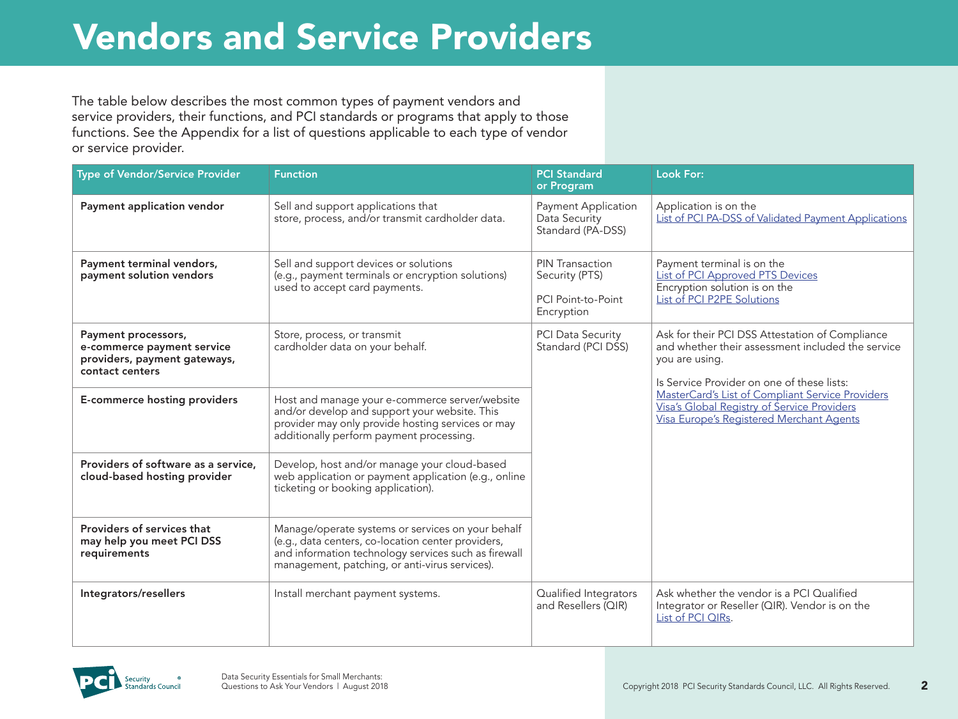## Vendors and Service Providers

The table below describes the most common types of payment vendors and service providers, their functions, and PCI standards or programs that apply to those functions. See the Appendix for a list of questions applicable to each type of vendor or service provider.

| <b>Type of Vendor/Service Provider</b>                                                               | <b>Function</b>                                                                                                                                                                                                   | <b>PCI Standard</b><br>or Program                                                   | <b>Look For:</b>                                                                                                                                                     |
|------------------------------------------------------------------------------------------------------|-------------------------------------------------------------------------------------------------------------------------------------------------------------------------------------------------------------------|-------------------------------------------------------------------------------------|----------------------------------------------------------------------------------------------------------------------------------------------------------------------|
| Payment application vendor                                                                           | Sell and support applications that<br>store, process, and/or transmit cardholder data.                                                                                                                            | <b>Payment Application</b><br>Data Security<br>Standard (PA-DSS)                    | Application is on the<br>List of PCI PA-DSS of Validated Payment Applications                                                                                        |
| Payment terminal vendors,<br>payment solution vendors                                                | Sell and support devices or solutions<br>(e.g., payment terminals or encryption solutions)<br>used to accept card payments.                                                                                       | <b>PIN Transaction</b><br>Security (PTS)<br><b>PCI Point-to-Point</b><br>Encryption | Payment terminal is on the<br>List of PCI Approved PTS Devices<br>Encryption solution is on the<br>List of PCI P2PE Solutions                                        |
| Payment processors,<br>e-commerce payment service<br>providers, payment gateways,<br>contact centers | Store, process, or transmit<br>cardholder data on your behalf.                                                                                                                                                    | <b>PCI Data Security</b><br>Standard (PCI DSS)                                      | Ask for their PCI DSS Attestation of Compliance<br>and whether their assessment included the service<br>you are using.<br>Is Service Provider on one of these lists: |
| <b>E-commerce hosting providers</b>                                                                  | Host and manage your e-commerce server/website<br>and/or develop and support your website. This<br>provider may only provide hosting services or may<br>additionally perform payment processing.                  |                                                                                     | MasterCard's List of Compliant Service Providers<br>Visa's Global Registry of Service Providers<br>Visa Europe's Registered Merchant Agents                          |
| Providers of software as a service,<br>cloud-based hosting provider                                  | Develop, host and/or manage your cloud-based<br>web application or payment application (e.g., online<br>ticketing or booking application).                                                                        |                                                                                     |                                                                                                                                                                      |
| Providers of services that<br>may help you meet PCI DSS<br>requirements                              | Manage/operate systems or services on your behalf<br>(e.g., data centers, co-location center providers,<br>and information technology services such as firewall<br>management, patching, or anti-virus services). |                                                                                     |                                                                                                                                                                      |
| Integrators/resellers                                                                                | Install merchant payment systems.                                                                                                                                                                                 | Qualified Integrators<br>and Resellers (QIR)                                        | Ask whether the vendor is a PCI Qualified<br>Integrator or Reseller (QIR). Vendor is on the<br>List of PCI QIRs.                                                     |

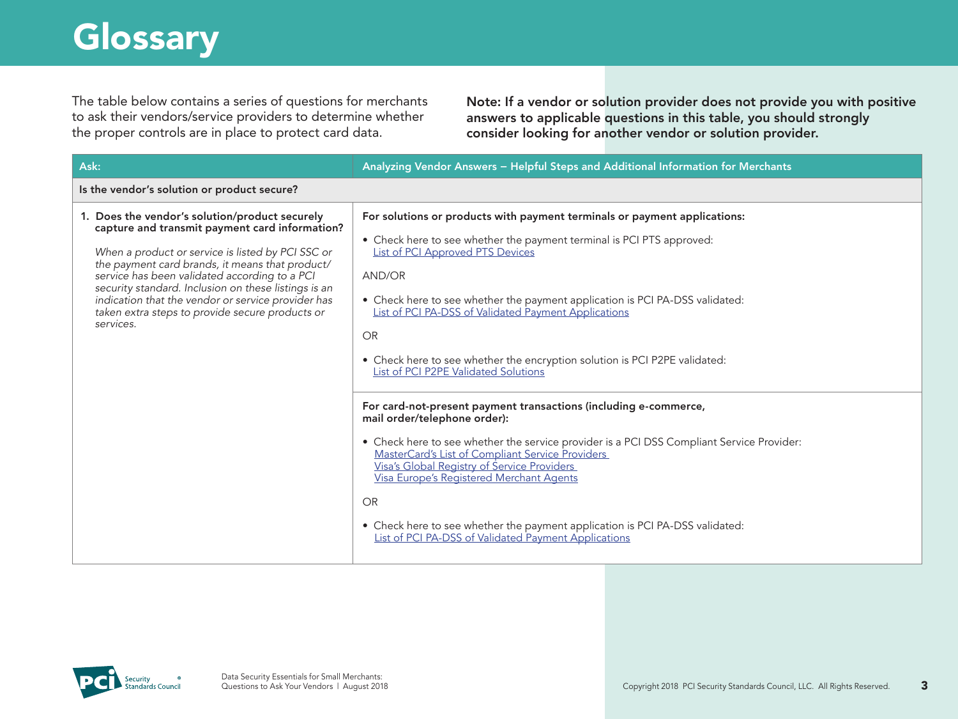## **Glossary**

The table below contains a series of questions for merchants to ask their vendors/service providers to determine whether the proper controls are in place to protect card data.

Note: If a vendor or solution provider does not provide you with positive answers to applicable questions in this table, you should strongly consider looking for another vendor or solution provider.

| Ask:                                                                                                                                                                                                                                                                                                                                                                                                                                    | Analyzing Vendor Answers - Helpful Steps and Additional Information for Merchants                                                                                                                                                                                                                                                                                                                                                                                                                                                                                                                                                                                                                                                                                                                                                                                                                                                                                                       |
|-----------------------------------------------------------------------------------------------------------------------------------------------------------------------------------------------------------------------------------------------------------------------------------------------------------------------------------------------------------------------------------------------------------------------------------------|-----------------------------------------------------------------------------------------------------------------------------------------------------------------------------------------------------------------------------------------------------------------------------------------------------------------------------------------------------------------------------------------------------------------------------------------------------------------------------------------------------------------------------------------------------------------------------------------------------------------------------------------------------------------------------------------------------------------------------------------------------------------------------------------------------------------------------------------------------------------------------------------------------------------------------------------------------------------------------------------|
| Is the vendor's solution or product secure?                                                                                                                                                                                                                                                                                                                                                                                             |                                                                                                                                                                                                                                                                                                                                                                                                                                                                                                                                                                                                                                                                                                                                                                                                                                                                                                                                                                                         |
| 1. Does the vendor's solution/product securely<br>capture and transmit payment card information?<br>When a product or service is listed by PCI SSC or<br>the payment card brands, it means that product/<br>service has been validated according to a PCI<br>security standard. Inclusion on these listings is an<br>indication that the vendor or service provider has<br>taken extra steps to provide secure products or<br>services. | For solutions or products with payment terminals or payment applications:<br>• Check here to see whether the payment terminal is PCI PTS approved:<br><b>List of PCI Approved PTS Devices</b><br>AND/OR<br>• Check here to see whether the payment application is PCI PA-DSS validated:<br>List of PCI PA-DSS of Validated Payment Applications<br><b>OR</b><br>• Check here to see whether the encryption solution is PCI P2PE validated:<br>List of PCI P2PE Validated Solutions<br>For card-not-present payment transactions (including e-commerce,<br>mail order/telephone order):<br>• Check here to see whether the service provider is a PCI DSS Compliant Service Provider:<br>MasterCard's List of Compliant Service Providers<br>Visa's Global Registry of Service Providers<br>Visa Europe's Registered Merchant Agents<br><b>OR</b><br>• Check here to see whether the payment application is PCI PA-DSS validated:<br>List of PCI PA-DSS of Validated Payment Applications |

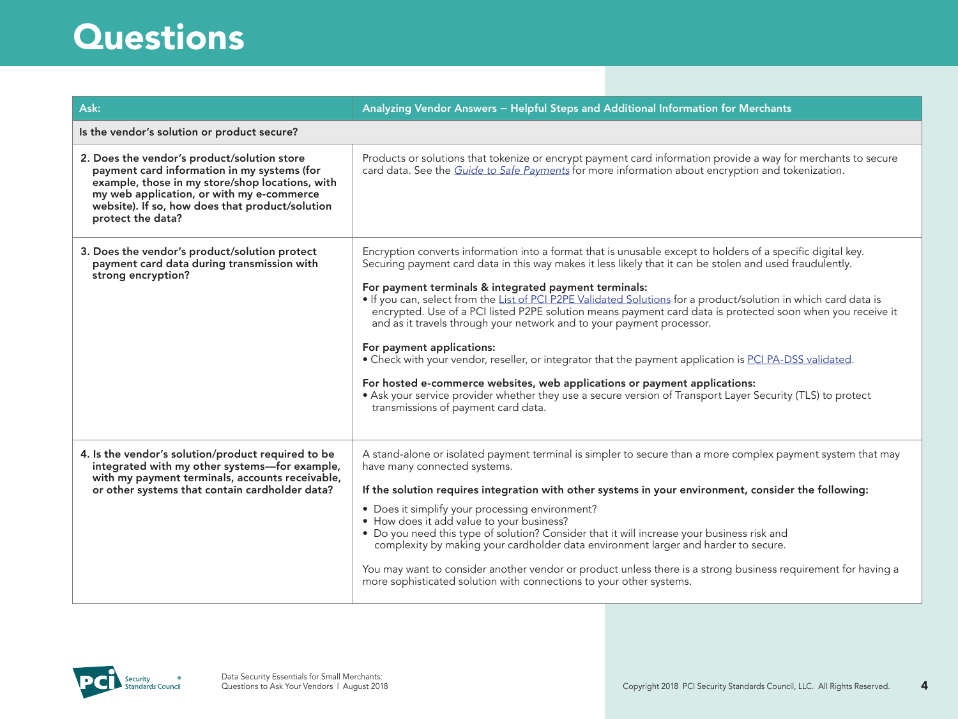| Ask:                                                                                                                                                                                                                                                               | Analyzing Vendor Answers - Helpful Steps and Additional Information for Merchants                                                                                                                                                                                                                                                                                                                                                                                                                                                                                                                                                                                                                                                                                                                                                                                                                                                                                    |
|--------------------------------------------------------------------------------------------------------------------------------------------------------------------------------------------------------------------------------------------------------------------|----------------------------------------------------------------------------------------------------------------------------------------------------------------------------------------------------------------------------------------------------------------------------------------------------------------------------------------------------------------------------------------------------------------------------------------------------------------------------------------------------------------------------------------------------------------------------------------------------------------------------------------------------------------------------------------------------------------------------------------------------------------------------------------------------------------------------------------------------------------------------------------------------------------------------------------------------------------------|
| Is the vendor's solution or product secure?                                                                                                                                                                                                                        |                                                                                                                                                                                                                                                                                                                                                                                                                                                                                                                                                                                                                                                                                                                                                                                                                                                                                                                                                                      |
| 2. Does the vendor's product/solution store<br>payment card information in my systems (for<br>example, those in my store/shop locations, with<br>my web application, or with my e-commerce<br>website). If so, how does that product/solution<br>protect the data? | Products or solutions that tokenize or encrypt payment card information provide a way for merchants to secure<br>card data. See the Guide to Safe Payments for more information about encryption and tokenization.                                                                                                                                                                                                                                                                                                                                                                                                                                                                                                                                                                                                                                                                                                                                                   |
| 3. Does the vendor's product/solution protect<br>payment card data during transmission with<br>strong encryption?                                                                                                                                                  | Encryption converts information into a format that is unusable except to holders of a specific digital key.<br>Securing payment card data in this way makes it less likely that it can be stolen and used fraudulently.<br>For payment terminals & integrated payment terminals:<br>. If you can, select from the List of PCI P2PE Validated Solutions for a product/solution in which card data is<br>encrypted. Use of a PCI listed P2PE solution means payment card data is protected soon when you receive it<br>and as it travels through your network and to your payment processor.<br>For payment applications:<br>. Check with your vendor, reseller, or integrator that the payment application is PCI PA-DSS validated.<br>For hosted e-commerce websites, web applications or payment applications:<br>• Ask your service provider whether they use a secure version of Transport Layer Security (TLS) to protect<br>transmissions of payment card data. |
| 4. Is the vendor's solution/product required to be<br>integrated with my other systems-for example,<br>with my payment terminals, accounts receivable,<br>or other systems that contain cardholder data?                                                           | A stand-alone or isolated payment terminal is simpler to secure than a more complex payment system that may<br>have many connected systems.<br>If the solution requires integration with other systems in your environment, consider the following:<br>• Does it simplify your processing environment?<br>• How does it add value to your business?<br>• Do you need this type of solution? Consider that it will increase your business risk and<br>complexity by making your cardholder data environment larger and harder to secure.<br>You may want to consider another vendor or product unless there is a strong business requirement for having a<br>more sophisticated solution with connections to your other systems.                                                                                                                                                                                                                                      |

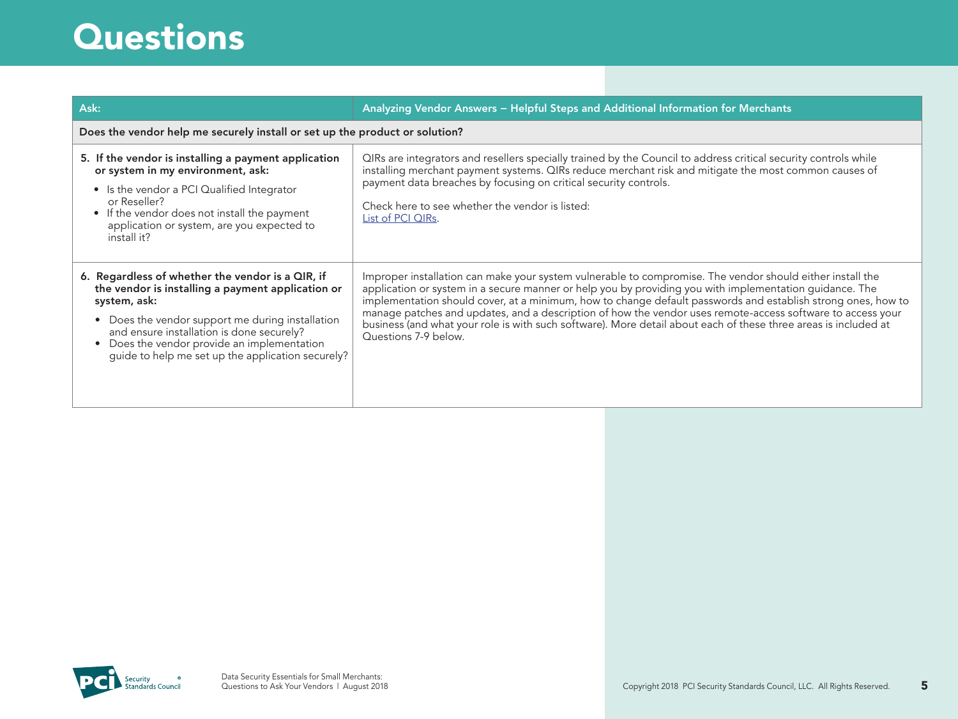| Ask:                                                                                                                                                                                                                                                                                                                       | Analyzing Vendor Answers - Helpful Steps and Additional Information for Merchants                                                                                                                                                                                                                                                                                                                                                                                                                                                                                                             |  |
|----------------------------------------------------------------------------------------------------------------------------------------------------------------------------------------------------------------------------------------------------------------------------------------------------------------------------|-----------------------------------------------------------------------------------------------------------------------------------------------------------------------------------------------------------------------------------------------------------------------------------------------------------------------------------------------------------------------------------------------------------------------------------------------------------------------------------------------------------------------------------------------------------------------------------------------|--|
| Does the vendor help me securely install or set up the product or solution?                                                                                                                                                                                                                                                |                                                                                                                                                                                                                                                                                                                                                                                                                                                                                                                                                                                               |  |
| 5. If the vendor is installing a payment application<br>or system in my environment, ask:<br>• Is the vendor a PCI Qualified Integrator<br>or Reseller?<br>• If the vendor does not install the payment<br>application or system, are you expected to<br>install it?                                                       | QIRs are integrators and resellers specially trained by the Council to address critical security controls while<br>installing merchant payment systems. QIRs reduce merchant risk and mitigate the most common causes of<br>payment data breaches by focusing on critical security controls.<br>Check here to see whether the vendor is listed:<br>List of PCI QIRs.                                                                                                                                                                                                                          |  |
| 6. Regardless of whether the vendor is a QIR, if<br>the vendor is installing a payment application or<br>system, ask:<br>• Does the vendor support me during installation<br>and ensure installation is done securely?<br>• Does the vendor provide an implementation<br>guide to help me set up the application securely? | Improper installation can make your system vulnerable to compromise. The vendor should either install the<br>application or system in a secure manner or help you by providing you with implementation guidance. The<br>implementation should cover, at a minimum, how to change default passwords and establish strong ones, how to<br>manage patches and updates, and a description of how the vendor uses remote-access software to access your<br>business (and what your role is with such software). More detail about each of these three areas is included at<br>Questions 7-9 below. |  |

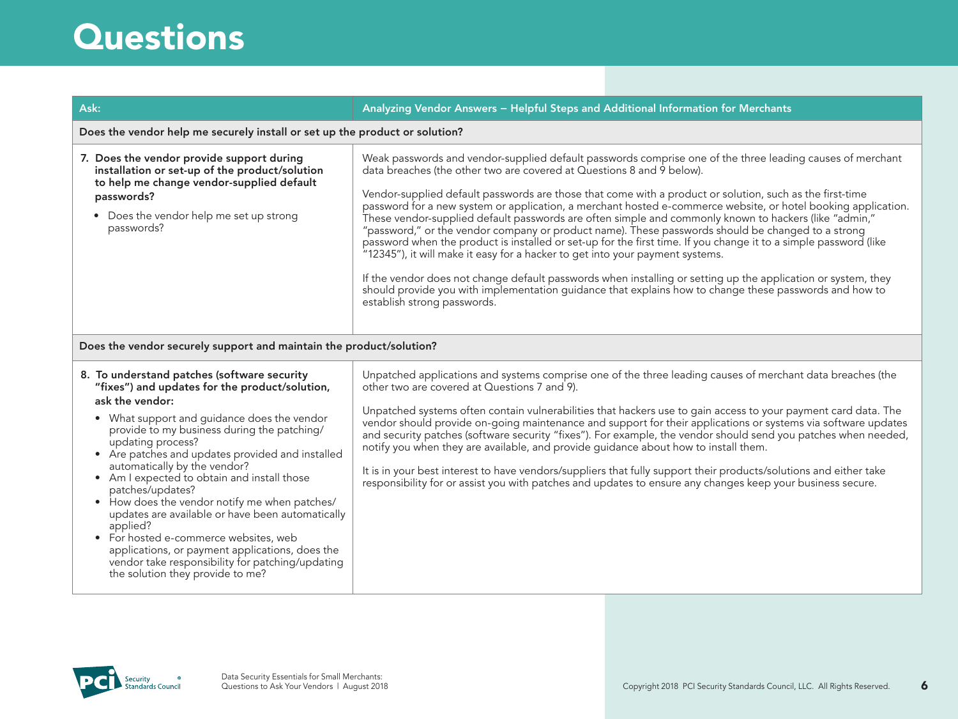| Ask:                                                                                                                                                                                                                                                                                                                                                                                                                                                                                                        | Analyzing Vendor Answers - Helpful Steps and Additional Information for Merchants                                                                                                                                                                                                                                                                                                                                                                                                                                                                                                                                                                                                                                                                                                                                                                                                                                                                                                                                                                                                            |  |
|-------------------------------------------------------------------------------------------------------------------------------------------------------------------------------------------------------------------------------------------------------------------------------------------------------------------------------------------------------------------------------------------------------------------------------------------------------------------------------------------------------------|----------------------------------------------------------------------------------------------------------------------------------------------------------------------------------------------------------------------------------------------------------------------------------------------------------------------------------------------------------------------------------------------------------------------------------------------------------------------------------------------------------------------------------------------------------------------------------------------------------------------------------------------------------------------------------------------------------------------------------------------------------------------------------------------------------------------------------------------------------------------------------------------------------------------------------------------------------------------------------------------------------------------------------------------------------------------------------------------|--|
| Does the vendor help me securely install or set up the product or solution?                                                                                                                                                                                                                                                                                                                                                                                                                                 |                                                                                                                                                                                                                                                                                                                                                                                                                                                                                                                                                                                                                                                                                                                                                                                                                                                                                                                                                                                                                                                                                              |  |
| 7. Does the vendor provide support during<br>installation or set-up of the product/solution<br>to help me change vendor-supplied default<br>passwords?<br>• Does the vendor help me set up strong<br>passwords?                                                                                                                                                                                                                                                                                             | Weak passwords and vendor-supplied default passwords comprise one of the three leading causes of merchant<br>data breaches (the other two are covered at Questions 8 and 9 below).<br>Vendor-supplied default passwords are those that come with a product or solution, such as the first-time<br>password for a new system or application, a merchant hosted e-commerce website, or hotel booking application.<br>These vendor-supplied default passwords are often simple and commonly known to hackers (like "admin,"<br>"password," or the vendor company or product name). These passwords should be changed to a strong<br>password when the product is installed or set-up for the first time. If you change it to a simple password (like<br>"12345"), it will make it easy for a hacker to get into your payment systems.<br>If the vendor does not change default passwords when installing or setting up the application or system, they<br>should provide you with implementation guidance that explains how to change these passwords and how to<br>establish strong passwords. |  |
| Does the vendor securely support and maintain the product/solution?                                                                                                                                                                                                                                                                                                                                                                                                                                         |                                                                                                                                                                                                                                                                                                                                                                                                                                                                                                                                                                                                                                                                                                                                                                                                                                                                                                                                                                                                                                                                                              |  |
| 8. To understand patches (software security<br>"fixes") and updates for the product/solution,<br>ask the vendor:<br>• What support and guidance does the vendor<br>provide to my business during the patching/<br>updating process?<br>• Are patches and updates provided and installed<br>automatically by the vendor?<br>• Am I expected to obtain and install those<br>patches/updates?<br>• How does the vendor notify me when patches/<br>updates are available or have been automatically<br>applied? | Unpatched applications and systems comprise one of the three leading causes of merchant data breaches (the<br>other two are covered at Questions 7 and 9).<br>Unpatched systems often contain vulnerabilities that hackers use to gain access to your payment card data. The<br>vendor should provide on-going maintenance and support for their applications or systems via software updates<br>and security patches (software security "fixes"). For example, the vendor should send you patches when needed,<br>notify you when they are available, and provide guidance about how to install them.<br>It is in your best interest to have vendors/suppliers that fully support their products/solutions and either take<br>responsibility for or assist you with patches and updates to ensure any changes keep your business secure.                                                                                                                                                                                                                                                    |  |

• For hosted e-commerce websites, web applications, or payment applications, does the vendor take responsibility for patching/updating the solution they provide to me?

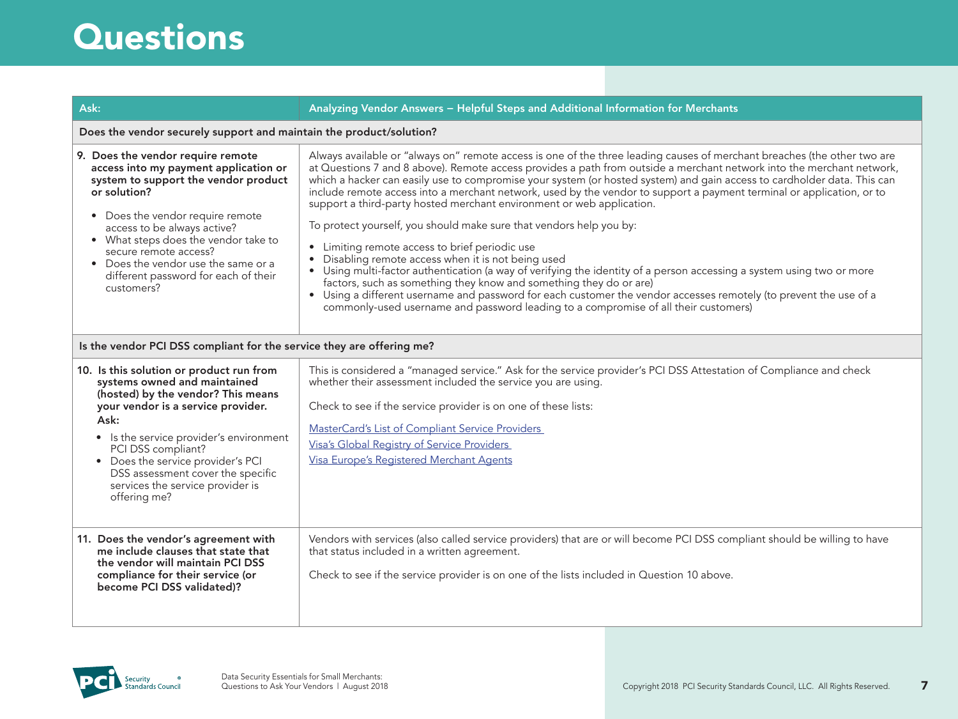| Does the vendor securely support and maintain the product/solution?                                                                                                                                                                                                                                                                                                 |                                                                                                                                                                                                                                                                                                                                                                                                                                                                                                                                                                                                                                                                                                                                                                                                                                                                                                                                                                                                                                                                                                                                                                                             |  |
|---------------------------------------------------------------------------------------------------------------------------------------------------------------------------------------------------------------------------------------------------------------------------------------------------------------------------------------------------------------------|---------------------------------------------------------------------------------------------------------------------------------------------------------------------------------------------------------------------------------------------------------------------------------------------------------------------------------------------------------------------------------------------------------------------------------------------------------------------------------------------------------------------------------------------------------------------------------------------------------------------------------------------------------------------------------------------------------------------------------------------------------------------------------------------------------------------------------------------------------------------------------------------------------------------------------------------------------------------------------------------------------------------------------------------------------------------------------------------------------------------------------------------------------------------------------------------|--|
| 9. Does the vendor require remote<br>access into my payment application or<br>system to support the vendor product<br>or solution?<br>• Does the vendor require remote<br>access to be always active?<br>• What steps does the vendor take to<br>secure remote access?<br>• Does the vendor use the same or a<br>different password for each of their<br>customers? | Always available or "always on" remote access is one of the three leading causes of merchant breaches (the other two are<br>at Questions 7 and 8 above). Remote access provides a path from outside a merchant network into the merchant network,<br>which a hacker can easily use to compromise your system (or hosted system) and gain access to cardholder data. This can<br>include remote access into a merchant network, used by the vendor to support a payment terminal or application, or to<br>support a third-party hosted merchant environment or web application.<br>To protect yourself, you should make sure that vendors help you by:<br>Limiting remote access to brief periodic use<br>$\bullet$<br>Disabling remote access when it is not being used<br>Using multi-factor authentication (a way of verifying the identity of a person accessing a system using two or more<br>$\bullet$<br>factors, such as something they know and something they do or are)<br>Using a different username and password for each customer the vendor accesses remotely (to prevent the use of a<br>commonly-used username and password leading to a compromise of all their customers) |  |
| Is the vendor PCI DSS compliant for the service they are offering me?                                                                                                                                                                                                                                                                                               |                                                                                                                                                                                                                                                                                                                                                                                                                                                                                                                                                                                                                                                                                                                                                                                                                                                                                                                                                                                                                                                                                                                                                                                             |  |
| 10. Is this solution or product run from<br>systems owned and maintained<br>(hosted) by the vendor? This means<br>your vendor is a service provider.<br>Ask:<br>• Is the service provider's environment<br>PCI DSS compliant?<br>• Does the service provider's PCI<br>DSS assessment cover the specific<br>services the service provider is<br>offering me?         | This is considered a "managed service." Ask for the service provider's PCI DSS Attestation of Compliance and check<br>whether their assessment included the service you are using.<br>Check to see if the service provider is on one of these lists:<br>MasterCard's List of Compliant Service Providers<br>Visa's Global Registry of Service Providers<br>Visa Europe's Registered Merchant Agents                                                                                                                                                                                                                                                                                                                                                                                                                                                                                                                                                                                                                                                                                                                                                                                         |  |
| 11. Does the vendor's agreement with<br>me include clauses that state that<br>the vendor will maintain PCI DSS<br>compliance for their service (or<br>become PCI DSS validated)?                                                                                                                                                                                    | Vendors with services (also called service providers) that are or will become PCI DSS compliant should be willing to have<br>that status included in a written agreement.<br>Check to see if the service provider is on one of the lists included in Question 10 above.                                                                                                                                                                                                                                                                                                                                                                                                                                                                                                                                                                                                                                                                                                                                                                                                                                                                                                                     |  |

Ask: Analyzing Vendor Answers − Helpful Steps and Additional Information for Merchants

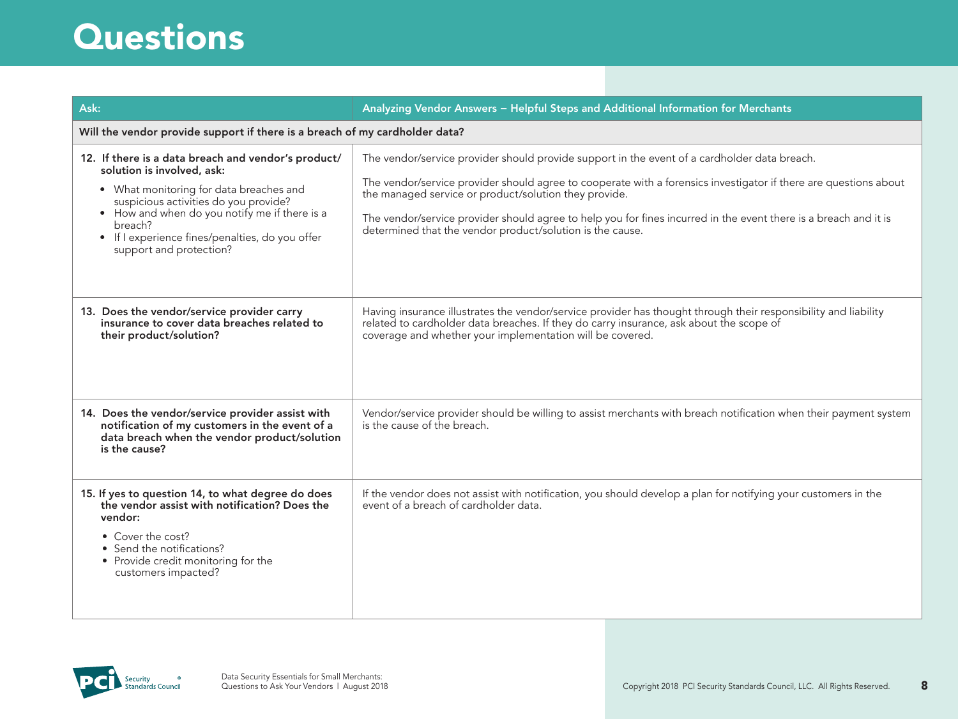| Ask:                                                                                                                                                                                                                                                                                                            | Analyzing Vendor Answers - Helpful Steps and Additional Information for Merchants                                                                                                                                                                                                                                                                                                                                                                          |  |  |
|-----------------------------------------------------------------------------------------------------------------------------------------------------------------------------------------------------------------------------------------------------------------------------------------------------------------|------------------------------------------------------------------------------------------------------------------------------------------------------------------------------------------------------------------------------------------------------------------------------------------------------------------------------------------------------------------------------------------------------------------------------------------------------------|--|--|
|                                                                                                                                                                                                                                                                                                                 | Will the vendor provide support if there is a breach of my cardholder data?                                                                                                                                                                                                                                                                                                                                                                                |  |  |
| 12. If there is a data breach and vendor's product/<br>solution is involved, ask:<br>• What monitoring for data breaches and<br>suspicious activities do you provide?<br>• How and when do you notify me if there is a<br>breach?<br>• If I experience fines/penalties, do you offer<br>support and protection? | The vendor/service provider should provide support in the event of a cardholder data breach.<br>The vendor/service provider should agree to cooperate with a forensics investigator if there are questions about<br>the managed service or product/solution they provide.<br>The vendor/service provider should agree to help you for fines incurred in the event there is a breach and it is<br>determined that the vendor product/solution is the cause. |  |  |
| 13. Does the vendor/service provider carry<br>insurance to cover data breaches related to<br>their product/solution?                                                                                                                                                                                            | Having insurance illustrates the vendor/service provider has thought through their responsibility and liability<br>related to cardholder data breaches. If they do carry insurance, ask about the scope of<br>coverage and whether your implementation will be covered.                                                                                                                                                                                    |  |  |
| 14. Does the vendor/service provider assist with<br>notification of my customers in the event of a<br>data breach when the vendor product/solution<br>is the cause?                                                                                                                                             | Vendor/service provider should be willing to assist merchants with breach notification when their payment system<br>is the cause of the breach.                                                                                                                                                                                                                                                                                                            |  |  |
| 15. If yes to question 14, to what degree do does<br>the vendor assist with notification? Does the<br>vendor:<br>• Cover the cost?<br>• Send the notifications?<br>• Provide credit monitoring for the<br>customers impacted?                                                                                   | If the vendor does not assist with notification, you should develop a plan for notifying your customers in the<br>event of a breach of cardholder data.                                                                                                                                                                                                                                                                                                    |  |  |